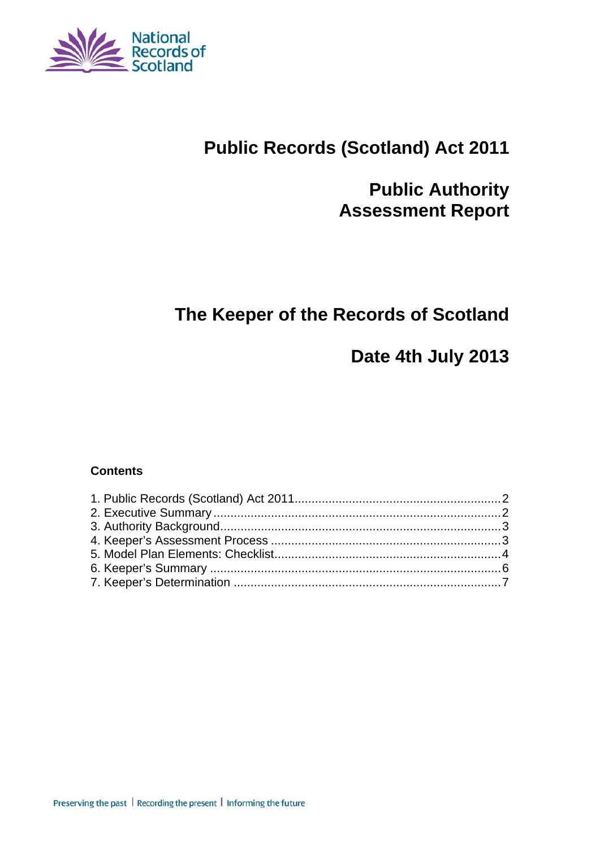

# **Public Records (Scotland) Act 2011**

# **Public Authority Assessment Report**

# **The Keeper of the Records of Scotland**

# **Date 4th July 2013**

#### **Contents**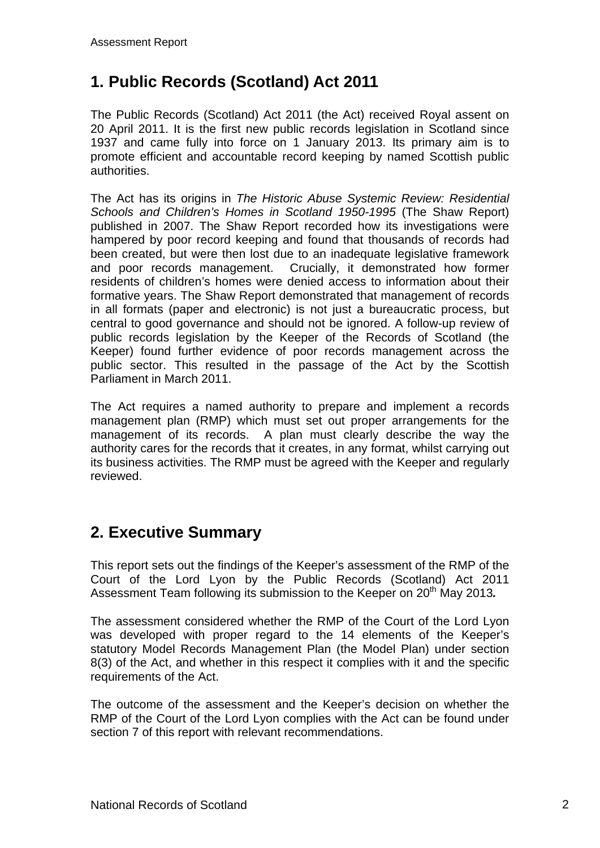## **1. Public Records (Scotland) Act 2011**

The Public Records (Scotland) Act 2011 (the Act) received Royal assent on 20 April 2011. It is the first new public records legislation in Scotland since 1937 and came fully into force on 1 January 2013. Its primary aim is to promote efficient and accountable record keeping by named Scottish public authorities.

The Act has its origins in *The Historic Abuse Systemic Review: Residential Schools and Children's Homes in Scotland 1950-1995* (The Shaw Report) published in 2007. The Shaw Report recorded how its investigations were hampered by poor record keeping and found that thousands of records had been created, but were then lost due to an inadequate legislative framework and poor records management. Crucially, it demonstrated how former residents of children's homes were denied access to information about their formative years. The Shaw Report demonstrated that management of records in all formats (paper and electronic) is not just a bureaucratic process, but central to good governance and should not be ignored. A follow-up review of public records legislation by the Keeper of the Records of Scotland (the Keeper) found further evidence of poor records management across the public sector. This resulted in the passage of the Act by the Scottish Parliament in March 2011.

The Act requires a named authority to prepare and implement a records management plan (RMP) which must set out proper arrangements for the management of its records. A plan must clearly describe the way the authority cares for the records that it creates, in any format, whilst carrying out its business activities. The RMP must be agreed with the Keeper and regularly reviewed.

### **2. Executive Summary**

This report sets out the findings of the Keeper's assessment of the RMP of the Court of the Lord Lyon by the Public Records (Scotland) Act 2011 Assessment Team following its submission to the Keeper on 20<sup>th</sup> May 2013.

The assessment considered whether the RMP of the Court of the Lord Lyon was developed with proper regard to the 14 elements of the Keeper's statutory Model Records Management Plan (the Model Plan) under section 8(3) of the Act, and whether in this respect it complies with it and the specific requirements of the Act.

The outcome of the assessment and the Keeper's decision on whether the RMP of the Court of the Lord Lyon complies with the Act can be found under section 7 of this report with relevant recommendations.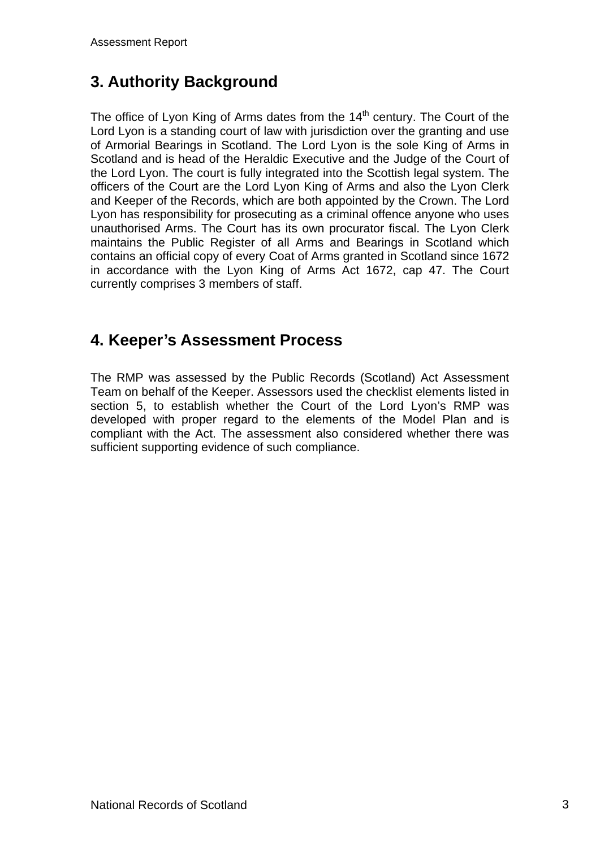# **3. Authority Background**

The office of Lyon King of Arms dates from the  $14<sup>th</sup>$  century. The Court of the Lord Lyon is a standing court of law with jurisdiction over the granting and use of Armorial Bearings in Scotland. The Lord Lyon is the sole King of Arms in Scotland and is head of the Heraldic Executive and the Judge of the Court of the Lord Lyon. The court is fully integrated into the Scottish legal system. The officers of the Court are the Lord Lyon King of Arms and also the Lyon Clerk and Keeper of the Records, which are both appointed by the Crown. The Lord Lyon has responsibility for prosecuting as a criminal offence anyone who uses unauthorised Arms. The Court has its own procurator fiscal. The Lyon Clerk maintains the Public Register of all Arms and Bearings in Scotland which contains an official copy of every Coat of Arms granted in Scotland since 1672 in accordance with the Lyon King of Arms Act 1672, cap 47. The Court currently comprises 3 members of staff.

#### **4. Keeper's Assessment Process**

The RMP was assessed by the Public Records (Scotland) Act Assessment Team on behalf of the Keeper. Assessors used the checklist elements listed in section 5, to establish whether the Court of the Lord Lyon's RMP was developed with proper regard to the elements of the Model Plan and is compliant with the Act. The assessment also considered whether there was sufficient supporting evidence of such compliance.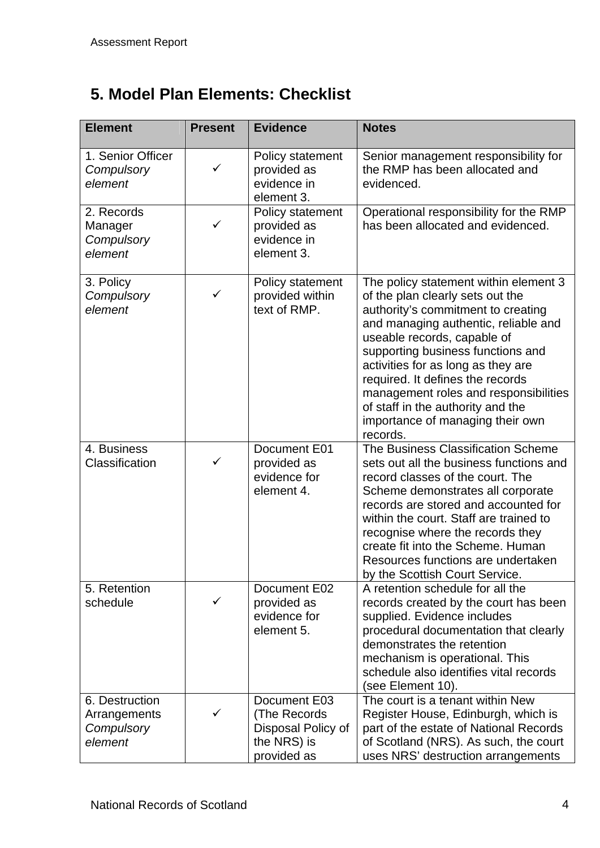# **5. Model Plan Elements: Checklist**

| <b>Element</b>                                          | <b>Present</b> | <b>Evidence</b>                                                                  | <b>Notes</b>                                                                                                                                                                                                                                                                                                                                                                                                                        |
|---------------------------------------------------------|----------------|----------------------------------------------------------------------------------|-------------------------------------------------------------------------------------------------------------------------------------------------------------------------------------------------------------------------------------------------------------------------------------------------------------------------------------------------------------------------------------------------------------------------------------|
| 1. Senior Officer<br>Compulsory<br>element              | ✓              | Policy statement<br>provided as<br>evidence in<br>element 3.                     | Senior management responsibility for<br>the RMP has been allocated and<br>evidenced.                                                                                                                                                                                                                                                                                                                                                |
| 2. Records<br>Manager<br>Compulsory<br>element          | ✓              | Policy statement<br>provided as<br>evidence in<br>element 3.                     | Operational responsibility for the RMP<br>has been allocated and evidenced.                                                                                                                                                                                                                                                                                                                                                         |
| 3. Policy<br>Compulsory<br>element                      | ✓              | Policy statement<br>provided within<br>text of RMP.                              | The policy statement within element 3<br>of the plan clearly sets out the<br>authority's commitment to creating<br>and managing authentic, reliable and<br>useable records, capable of<br>supporting business functions and<br>activities for as long as they are<br>required. It defines the records<br>management roles and responsibilities<br>of staff in the authority and the<br>importance of managing their own<br>records. |
| 4. Business<br>Classification                           | $\checkmark$   | Document E01<br>provided as<br>evidence for<br>element 4.                        | The Business Classification Scheme<br>sets out all the business functions and<br>record classes of the court. The<br>Scheme demonstrates all corporate<br>records are stored and accounted for<br>within the court. Staff are trained to<br>recognise where the records they<br>create fit into the Scheme. Human<br>Resources functions are undertaken<br>by the Scottish Court Service.                                           |
| 5. Retention<br>schedule                                | ✓              | Document E02<br>provided as<br>evidence for<br>element 5.                        | A retention schedule for all the<br>records created by the court has been<br>supplied. Evidence includes<br>procedural documentation that clearly<br>demonstrates the retention<br>mechanism is operational. This<br>schedule also identifies vital records<br>(see Element 10).                                                                                                                                                    |
| 6. Destruction<br>Arrangements<br>Compulsory<br>element |                | Document E03<br>(The Records<br>Disposal Policy of<br>the NRS) is<br>provided as | The court is a tenant within New<br>Register House, Edinburgh, which is<br>part of the estate of National Records<br>of Scotland (NRS). As such, the court<br>uses NRS' destruction arrangements                                                                                                                                                                                                                                    |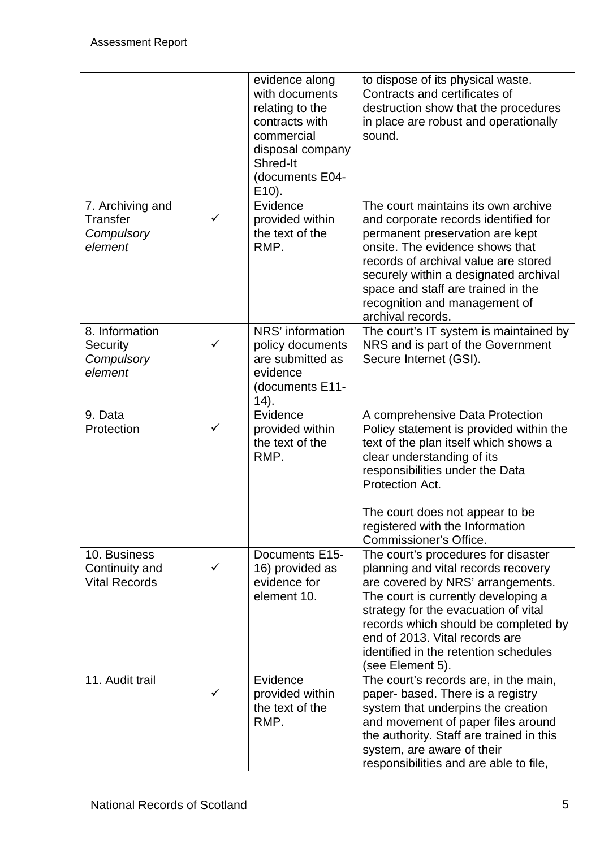|                                                        |   | evidence along<br>with documents<br>relating to the<br>contracts with<br>commercial<br>disposal company<br>Shred-It<br>(documents E04-<br>$E(10)$ . | to dispose of its physical waste.<br>Contracts and certificates of<br>destruction show that the procedures<br>in place are robust and operationally<br>sound.                                                                                                                                                                         |
|--------------------------------------------------------|---|-----------------------------------------------------------------------------------------------------------------------------------------------------|---------------------------------------------------------------------------------------------------------------------------------------------------------------------------------------------------------------------------------------------------------------------------------------------------------------------------------------|
| 7. Archiving and<br>Transfer<br>Compulsory<br>element  | ✓ | Evidence<br>provided within<br>the text of the<br>RMP.                                                                                              | The court maintains its own archive<br>and corporate records identified for<br>permanent preservation are kept<br>onsite. The evidence shows that<br>records of archival value are stored<br>securely within a designated archival<br>space and staff are trained in the<br>recognition and management of<br>archival records.        |
| 8. Information<br>Security<br>Compulsory<br>element    | ✓ | NRS' information<br>policy documents<br>are submitted as<br>evidence<br>(documents E11-<br>(14).                                                    | The court's IT system is maintained by<br>NRS and is part of the Government<br>Secure Internet (GSI).                                                                                                                                                                                                                                 |
| 9. Data<br>Protection                                  | ✓ | Evidence<br>provided within<br>the text of the<br>RMP.                                                                                              | A comprehensive Data Protection<br>Policy statement is provided within the<br>text of the plan itself which shows a<br>clear understanding of its<br>responsibilities under the Data<br>Protection Act.<br>The court does not appear to be<br>registered with the Information<br>Commissioner's Office.                               |
| 10. Business<br>Continuity and<br><b>Vital Records</b> | ✓ | Documents E15-<br>16) provided as<br>evidence for<br>element 10.                                                                                    | The court's procedures for disaster<br>planning and vital records recovery<br>are covered by NRS' arrangements.<br>The court is currently developing a<br>strategy for the evacuation of vital<br>records which should be completed by<br>end of 2013. Vital records are<br>identified in the retention schedules<br>(see Element 5). |
| 11. Audit trail                                        | ✓ | Evidence<br>provided within<br>the text of the<br>RMP.                                                                                              | The court's records are, in the main,<br>paper- based. There is a registry<br>system that underpins the creation<br>and movement of paper files around<br>the authority. Staff are trained in this<br>system, are aware of their<br>responsibilities and are able to file,                                                            |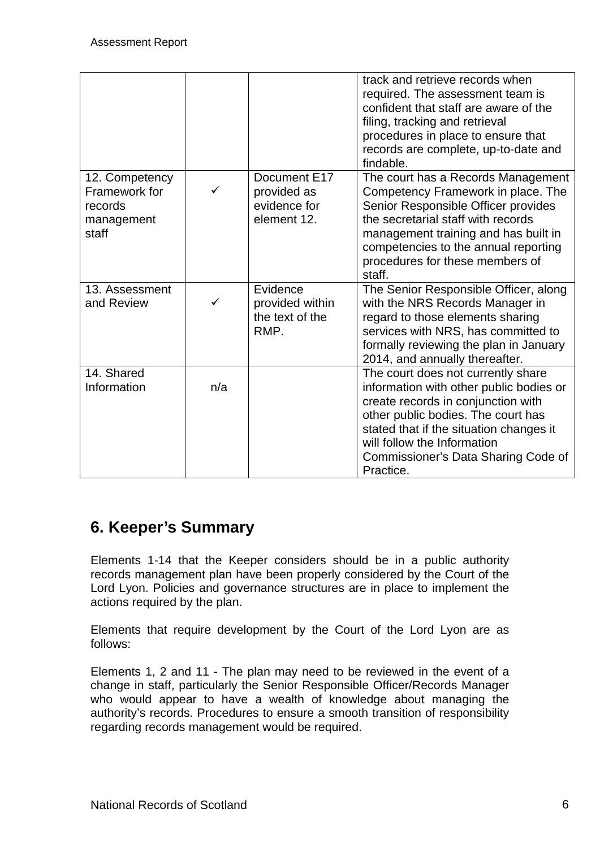|                                                                   |              |                                                            | track and retrieve records when<br>required. The assessment team is<br>confident that staff are aware of the<br>filing, tracking and retrieval<br>procedures in place to ensure that<br>records are complete, up-to-date and<br>findable.                                               |
|-------------------------------------------------------------------|--------------|------------------------------------------------------------|-----------------------------------------------------------------------------------------------------------------------------------------------------------------------------------------------------------------------------------------------------------------------------------------|
| 12. Competency<br>Framework for<br>records<br>management<br>staff | $\checkmark$ | Document E17<br>provided as<br>evidence for<br>element 12. | The court has a Records Management<br>Competency Framework in place. The<br>Senior Responsible Officer provides<br>the secretarial staff with records<br>management training and has built in<br>competencies to the annual reporting<br>procedures for these members of<br>staff.      |
| 13. Assessment<br>and Review                                      | ✓            | Evidence<br>provided within<br>the text of the<br>RMP.     | The Senior Responsible Officer, along<br>with the NRS Records Manager in<br>regard to those elements sharing<br>services with NRS, has committed to<br>formally reviewing the plan in January<br>2014, and annually thereafter.                                                         |
| 14. Shared<br>Information                                         | n/a          |                                                            | The court does not currently share<br>information with other public bodies or<br>create records in conjunction with<br>other public bodies. The court has<br>stated that if the situation changes it<br>will follow the Information<br>Commissioner's Data Sharing Code of<br>Practice. |

### **6. Keeper's Summary**

Elements 1-14 that the Keeper considers should be in a public authority records management plan have been properly considered by the Court of the Lord Lyon. Policies and governance structures are in place to implement the actions required by the plan.

Elements that require development by the Court of the Lord Lyon are as follows:

Elements 1, 2 and 11 - The plan may need to be reviewed in the event of a change in staff, particularly the Senior Responsible Officer/Records Manager who would appear to have a wealth of knowledge about managing the authority's records. Procedures to ensure a smooth transition of responsibility regarding records management would be required.